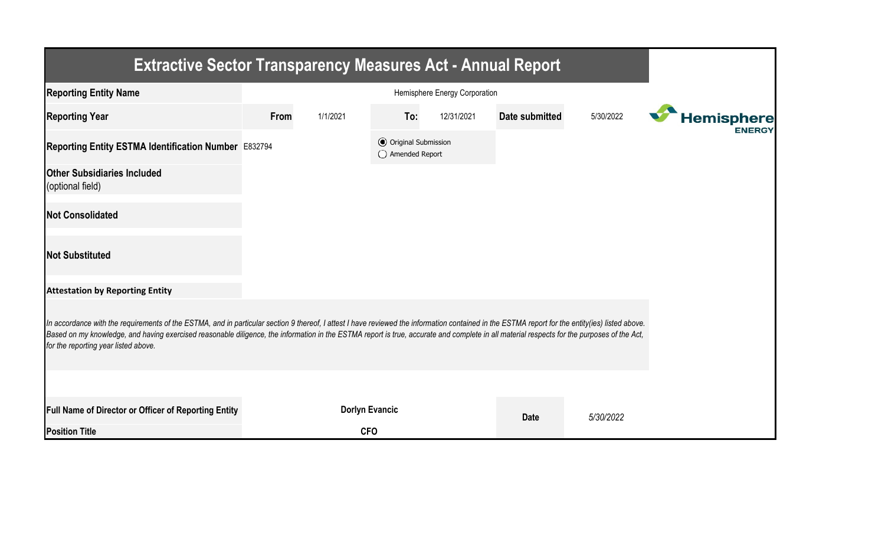| <b>Extractive Sector Transparency Measures Act - Annual Report</b>                                                                                                                                                                                                                                                                                                                                                                    |                               |                       |                                                  |            |                |           |  |                   |  |  |
|---------------------------------------------------------------------------------------------------------------------------------------------------------------------------------------------------------------------------------------------------------------------------------------------------------------------------------------------------------------------------------------------------------------------------------------|-------------------------------|-----------------------|--------------------------------------------------|------------|----------------|-----------|--|-------------------|--|--|
| <b>Reporting Entity Name</b>                                                                                                                                                                                                                                                                                                                                                                                                          | Hemisphere Energy Corporation |                       |                                                  |            |                |           |  |                   |  |  |
| <b>Reporting Year</b>                                                                                                                                                                                                                                                                                                                                                                                                                 | From                          | 1/1/2021              | To:                                              | 12/31/2021 | Date submitted | 5/30/2022 |  | <b>Hemisphere</b> |  |  |
| Reporting Entity ESTMA Identification Number E832794                                                                                                                                                                                                                                                                                                                                                                                  |                               |                       | <b>⊙</b> Original Submission<br>◯ Amended Report |            |                |           |  | <b>ENERGY</b>     |  |  |
| <b>Other Subsidiaries Included</b><br>(optional field)                                                                                                                                                                                                                                                                                                                                                                                |                               |                       |                                                  |            |                |           |  |                   |  |  |
| <b>Not Consolidated</b>                                                                                                                                                                                                                                                                                                                                                                                                               |                               |                       |                                                  |            |                |           |  |                   |  |  |
| <b>Not Substituted</b>                                                                                                                                                                                                                                                                                                                                                                                                                |                               |                       |                                                  |            |                |           |  |                   |  |  |
| <b>Attestation by Reporting Entity</b>                                                                                                                                                                                                                                                                                                                                                                                                |                               |                       |                                                  |            |                |           |  |                   |  |  |
| In accordance with the requirements of the ESTMA, and in particular section 9 thereof, I attest I have reviewed the information contained in the ESTMA report for the entity(ies) listed above.<br>Based on my knowledge, and having exercised reasonable diligence, the information in the ESTMA report is true, accurate and complete in all material respects for the purposes of the Act,<br>for the reporting year listed above. |                               |                       |                                                  |            |                |           |  |                   |  |  |
|                                                                                                                                                                                                                                                                                                                                                                                                                                       |                               |                       |                                                  |            |                |           |  |                   |  |  |
| <b>Full Name of Director or Officer of Reporting Entity</b>                                                                                                                                                                                                                                                                                                                                                                           |                               | <b>Dorlyn Evancic</b> |                                                  |            | <b>Date</b>    | 5/30/2022 |  |                   |  |  |
| <b>Position Title</b>                                                                                                                                                                                                                                                                                                                                                                                                                 |                               | <b>CFO</b>            |                                                  |            |                |           |  |                   |  |  |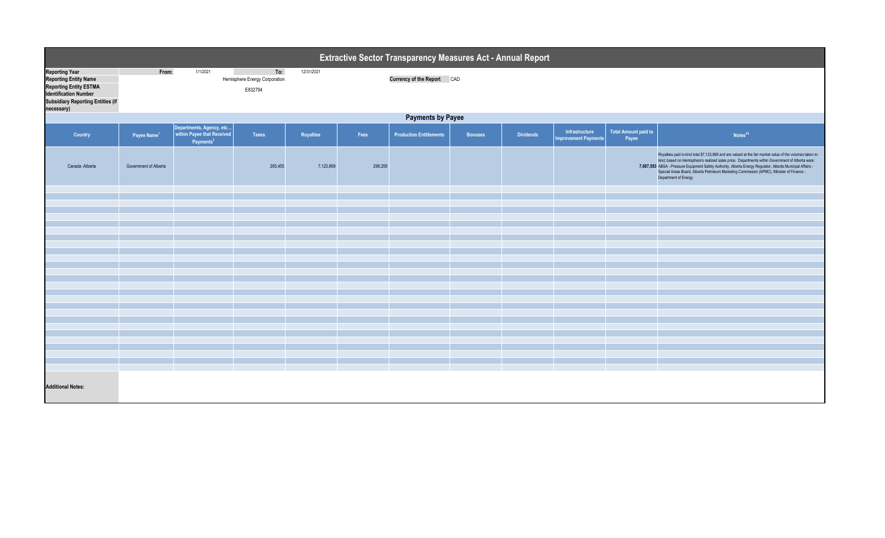| Extractive Sector Transparency Measures Act - Annual Report                                                                                                               |                                                                                                                  |                                                                                 |         |           |         |                                |                |                  |                                               |                                      |                                                                                                                                                                                                                                                                                                                                                                                                                                                   |  |  |
|---------------------------------------------------------------------------------------------------------------------------------------------------------------------------|------------------------------------------------------------------------------------------------------------------|---------------------------------------------------------------------------------|---------|-----------|---------|--------------------------------|----------------|------------------|-----------------------------------------------|--------------------------------------|---------------------------------------------------------------------------------------------------------------------------------------------------------------------------------------------------------------------------------------------------------------------------------------------------------------------------------------------------------------------------------------------------------------------------------------------------|--|--|
| <b>Reporting Year</b><br><b>Reporting Entity Name</b><br><b>Reporting Entity ESTMA</b><br><b>Identification Number</b><br>Subsidiary Reporting Entities (if<br>necessary) | 1/1/2021<br>To:<br>From:<br>12/31/2021<br>Hemisphere Energy Corporation<br>Currency of the Report CAD<br>E832794 |                                                                                 |         |           |         |                                |                |                  |                                               |                                      |                                                                                                                                                                                                                                                                                                                                                                                                                                                   |  |  |
|                                                                                                                                                                           | <b>Payments by Payee</b>                                                                                         |                                                                                 |         |           |         |                                |                |                  |                                               |                                      |                                                                                                                                                                                                                                                                                                                                                                                                                                                   |  |  |
| Country                                                                                                                                                                   | Payee Name <sup>1</sup>                                                                                          | Departments, Agency, etc<br>within Payee that Received<br>Payments <sup>2</sup> | Taxes   | Royalties | Fees    | <b>Production Entitlements</b> | <b>Bonuses</b> | <b>Dividends</b> | Infrastructure<br><b>Improvement Payments</b> | <b>Total Amount paid to</b><br>Payee | Notes <sup>34</sup>                                                                                                                                                                                                                                                                                                                                                                                                                               |  |  |
| Canada - Alberta                                                                                                                                                          | Government of Alberta                                                                                            |                                                                                 | 265,455 | 7,123,869 | 298,259 |                                |                |                  |                                               |                                      | Royalties paid in-kind total \$7,123,869 and are valued at the fair market value of the volumes taken in-<br>kind, based on Hemisphere's realized sales price. Departments within Government of Alberta were:<br>7,687,583 ABSA - Pressure Equipment Safety Authority, Alberta Energy Regulator, Alberta Municipal Affairs -<br>Special Areas Board, Alberta Petroleum Marketing Commission (APMC), Minister of Finance -<br>Department of Energy |  |  |
|                                                                                                                                                                           |                                                                                                                  |                                                                                 |         |           |         |                                |                |                  |                                               |                                      |                                                                                                                                                                                                                                                                                                                                                                                                                                                   |  |  |
|                                                                                                                                                                           |                                                                                                                  |                                                                                 |         |           |         |                                |                |                  |                                               |                                      |                                                                                                                                                                                                                                                                                                                                                                                                                                                   |  |  |
|                                                                                                                                                                           |                                                                                                                  |                                                                                 |         |           |         |                                |                |                  |                                               |                                      |                                                                                                                                                                                                                                                                                                                                                                                                                                                   |  |  |
|                                                                                                                                                                           |                                                                                                                  |                                                                                 |         |           |         |                                |                |                  |                                               |                                      |                                                                                                                                                                                                                                                                                                                                                                                                                                                   |  |  |
|                                                                                                                                                                           |                                                                                                                  |                                                                                 |         |           |         |                                |                |                  |                                               |                                      |                                                                                                                                                                                                                                                                                                                                                                                                                                                   |  |  |
|                                                                                                                                                                           |                                                                                                                  |                                                                                 |         |           |         |                                |                |                  |                                               |                                      |                                                                                                                                                                                                                                                                                                                                                                                                                                                   |  |  |
|                                                                                                                                                                           |                                                                                                                  |                                                                                 |         |           |         |                                |                |                  |                                               |                                      |                                                                                                                                                                                                                                                                                                                                                                                                                                                   |  |  |
|                                                                                                                                                                           |                                                                                                                  |                                                                                 |         |           |         |                                |                |                  |                                               |                                      |                                                                                                                                                                                                                                                                                                                                                                                                                                                   |  |  |
|                                                                                                                                                                           |                                                                                                                  |                                                                                 |         |           |         |                                |                |                  |                                               |                                      |                                                                                                                                                                                                                                                                                                                                                                                                                                                   |  |  |
|                                                                                                                                                                           |                                                                                                                  |                                                                                 |         |           |         |                                |                |                  |                                               |                                      |                                                                                                                                                                                                                                                                                                                                                                                                                                                   |  |  |
|                                                                                                                                                                           |                                                                                                                  |                                                                                 |         |           |         |                                |                |                  |                                               |                                      |                                                                                                                                                                                                                                                                                                                                                                                                                                                   |  |  |
|                                                                                                                                                                           |                                                                                                                  |                                                                                 |         |           |         |                                |                |                  |                                               |                                      |                                                                                                                                                                                                                                                                                                                                                                                                                                                   |  |  |
|                                                                                                                                                                           |                                                                                                                  |                                                                                 |         |           |         |                                |                |                  |                                               |                                      |                                                                                                                                                                                                                                                                                                                                                                                                                                                   |  |  |
|                                                                                                                                                                           |                                                                                                                  |                                                                                 |         |           |         |                                |                |                  |                                               |                                      |                                                                                                                                                                                                                                                                                                                                                                                                                                                   |  |  |
|                                                                                                                                                                           |                                                                                                                  |                                                                                 |         |           |         |                                |                |                  |                                               |                                      |                                                                                                                                                                                                                                                                                                                                                                                                                                                   |  |  |
|                                                                                                                                                                           |                                                                                                                  |                                                                                 |         |           |         |                                |                |                  |                                               |                                      |                                                                                                                                                                                                                                                                                                                                                                                                                                                   |  |  |
| <b>Additional Notes:</b>                                                                                                                                                  |                                                                                                                  |                                                                                 |         |           |         |                                |                |                  |                                               |                                      |                                                                                                                                                                                                                                                                                                                                                                                                                                                   |  |  |